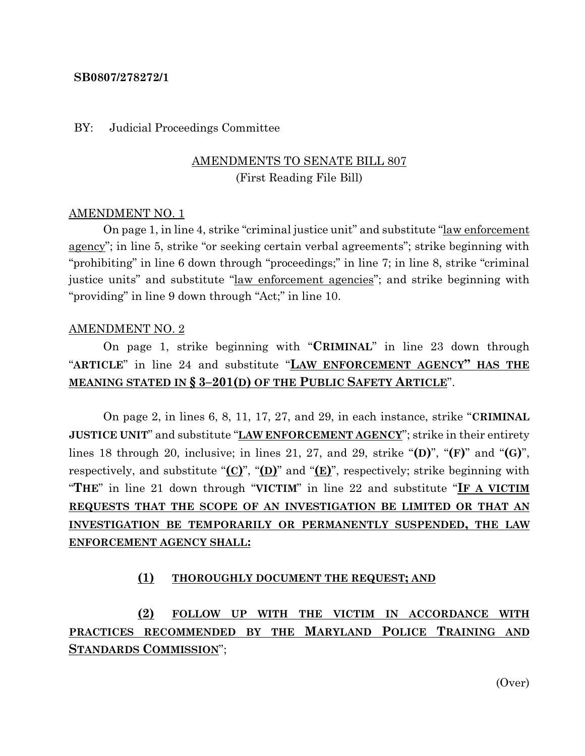## **SB0807/278272/1**

### BY: Judicial Proceedings Committee

# AMENDMENTS TO SENATE BILL 807 (First Reading File Bill)

### AMENDMENT NO. 1

On page 1, in line 4, strike "criminal justice unit" and substitute "<u>law enforcement</u> agency"; in line 5, strike "or seeking certain verbal agreements"; strike beginning with "prohibiting" in line 6 down through "proceedings;" in line 7; in line 8, strike "criminal justice units" and substitute "law enforcement agencies"; and strike beginning with "providing" in line 9 down through "Act;" in line 10.

#### AMENDMENT NO. 2

On page 1, strike beginning with "**CRIMINAL**" in line 23 down through "**ARTICLE**" in line 24 and substitute "**LAW ENFORCEMENT AGENCY" HAS THE MEANING STATED IN § 3–201(D) OF THE PUBLIC SAFETY ARTICLE**".

On page 2, in lines 6, 8, 11, 17, 27, and 29, in each instance, strike "**CRIMINAL JUSTICE UNIT**" and substitute "**LAW ENFORCEMENT AGENCY**"; strike in their entirety lines 18 through 20, inclusive; in lines 21, 27, and 29, strike "**(D)**", "**(F)**" and "**(G)**", respectively, and substitute "**(C)**", "**(D)**" and "**(E)**", respectively; strike beginning with "**THE**" in line 21 down through "**VICTIM**" in line 22 and substitute "**IF A VICTIM REQUESTS THAT THE SCOPE OF AN INVESTIGATION BE LIMITED OR THAT AN INVESTIGATION BE TEMPORARILY OR PERMANENTLY SUSPENDED, THE LAW ENFORCEMENT AGENCY SHALL:**

## **(1) THOROUGHLY DOCUMENT THE REQUEST; AND**

**(2) FOLLOW UP WITH THE VICTIM IN ACCORDANCE WITH PRACTICES RECOMMENDED BY THE MARYLAND POLICE TRAINING AND STANDARDS COMMISSION**";

(Over)